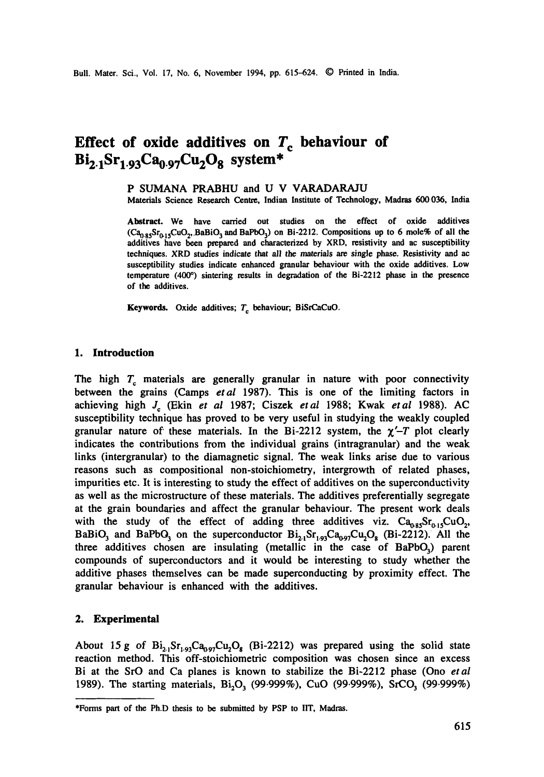# Effect of oxide additives on  $T_c$  behaviour of  $Bi_{2.1}Sr_{1.93}Ca_{0.97}Cu_{2}O_{8}$  system\*

#### P SUMANA PRABHU and U V VARADARAJU

Materials Science Research Centre, Indian Institute of Technology, Madras 600 036, India

Abstract. We have carried out studies on the effect of oxide additives  $(Ca_{0.85}Sr_{0.15}CuO_2, BaBiO_3$  and BaPbO<sub>3</sub>) on Bi-2212. Compositions up to 6 mole% of all the additives have been prepared and characterized by XRD, resistivity and ac susceptibility techniques. XRD studies indicate that all the materials are single phase. Resistivity and ac susceptibility studies indicate enhanced granular behaviour with the oxide additives. Low temperature (400°) sintering results in degradation of the Bi-2212 phase in the presence of the additives.

Keywords. Oxide additives;  $T_c$  behaviour; BiSrCaCuO.

## **1. Introduction**

The high  $T_c$  materials are generally granular in nature with poor connectivity between the grains (Camps *etal* 1987). This is one of the limiting factors in achieving high Jc (Ekin *et al* 1987; Ciszek *etal* 1988; Kwak *etal* 1988). AC susceptibility technique has proved to be very useful in studying the weakly coupled granular nature of these materials. In the Bi-2212 system, the  $\chi$ -T plot clearly indicates the contributions from the individual grains (intragranular) and the weak links (intergranular) to the diamagnetic signal. The weak links arise due to various reasons such as compositional non-stoichiometry, intergrowth of related phases, impurities etc. It is interesting to study the effect of additives on the superconductivity as well as the microstructure of these materials. The additives preferentially segregate at the grain boundaries and affect the granular behaviour. The present work deals with the study of the effect of adding three additives viz.  $Ca_{0.85}Sr_{0.15}CuO_2$ , BaBiO<sub>3</sub> and BaPbO<sub>3</sub> on the superconductor  $Bi_{21}Sr_{193}Ca_{097}Cu_{2}O_{8}$  (Bi-2212). All the three additives chosen are insulating (metallic in the case of  $BaPbO<sub>3</sub>$ ) parent compounds of superconductors and it would be interesting to study whether the additive phases themselves can be made superconducting by proximity effect. The granular behaviour is enhanced with the additives.

## **2. Experimental**

About 15 g of  $Bi_{2,1}Sr_{1,93}Ca_{0,97}Cu_{2}O_{8}$  (Bi-2212) was prepared using the solid state reaction method. This off-stoichiometric composition was chosen since an excess Bi at the SrO and Ca planes is known to stabilize the Bi-2212 phase (Ono *etal*  1989). The starting materials,  $Bi_2O_3$  (99.999%), CuO (99.999%), SrCO<sub>3</sub> (99.999%)

<sup>\*</sup>Forms part of the Ph.D thesis to be submitted by PSP to liT, Madras.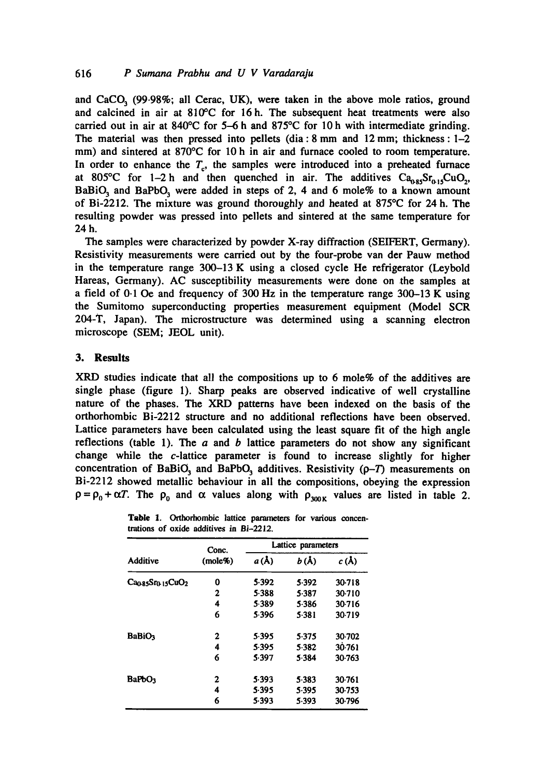and CaCO<sub>3</sub> (99.98%; all Cerac, UK), were taken in the above mole ratios, ground and calcined in air at 810°C for 16h. The subsequent heat treatments were also carried out in air at  $840^{\circ}$ C for 5–6 h and  $875^{\circ}$ C for 10 h with intermediate grinding. The material was then pressed into pellets (dia:8 mm and 12 mm; thickness: 1-2 mm) and sintered at  $870^{\circ}$ C for 10 h in air and furnace cooled to room temperature. In order to enhance the  $T_c$ , the samples were introduced into a preheated furnace at 805°C for 1-2 h and then quenched in air. The additives  $Ca_{0.85}Sr_{0.15}CuO_2$ , BaBiO<sub>3</sub> and BaPbO<sub>3</sub> were added in steps of 2, 4 and 6 mole% to a known amount of Bi-2212. The mixture was ground thoroughly and heated at 875°C for 24 h. The resulting powder was pressed into pellets and sintered at the same temperature for 24 h.

The samples were characterized by powder X-ray diffraction (SEIFERT, Germany). Resistivity measurements were carried out by the four-probe van der Pauw method in the temperature range  $300-13$  K using a closed cycle He refrigerator (Leybold Hareas, Germany). AC susceptibility measurements were done on the samples at a field of  $0.1$  Oe and frequency of 300 Hz in the temperature range 300-13 K using the Sumitomo superconducting properties measurement equipment (Model SCR 204-T, Japan). The microstructure was determined using a scanning electron microscope (SEM; JEOL unit).

# 3. Results

XRD studies indicate that all the compositions up to 6 mole% of the additives are single phase (figure 1). Sharp peaks are observed indicative of well crystalline nature of the phases. The XRD patterns have been indexed on the basis of the orthorhombic Bi-2212 structure and no additional reflections have been observed. Lattice parameters have been calculated using the least square fit of the high angle reflections (table 1). The  $a$  and  $b$  lattice parameters do not show any significant change while the c-lattice parameter is found to increase slightly for higher concentration of BaBiO<sub>3</sub> and BaPbO<sub>3</sub> additives. Resistivity  $(p-T)$  measurements on Bi-2212 showed metallic behaviour in all the compositions, obeying the expression  $p = p_0 + \alpha T$ . The  $p_0$  and  $\alpha$  values along with  $p_{300K}$  values are listed in table 2.

|                                        | Conc.   |              | Lattice parameters |              |
|----------------------------------------|---------|--------------|--------------------|--------------|
| <b>Additive</b>                        | (mole%) | $a(\lambda)$ | $b(\lambda)$       | $c(\lambda)$ |
| CangsSm <sub>15</sub> CuO <sub>2</sub> | 0       | 5.392        | 5.392              | 30.718       |
|                                        | 2       | 5.388        | 5.387              | 30.710       |
|                                        | 4       | 5.389        | 5.386              | 30.716       |
|                                        | 6       | 5.396        | 5.381              | 30.719       |
| <b>BaBiO3</b>                          | 2       | 5.395        | 5.375              | 30.702       |
|                                        | 4       | 5.395        | 5.382              | 30.761       |
|                                        | 6       | 5.397        | 5.384              | 30.763       |
| BaPbO <sub>3</sub>                     | 2       | 5.393        | 5.383              | 30.761       |
|                                        | 4       | 5.395        | 5.395              | 30.753       |
|                                        | 6       | 5.393        | 5.393              | 30.796       |

**Table** 1. Orthorhombic lattice parameters for various concentrations of oxide additives in *Bi-2212.*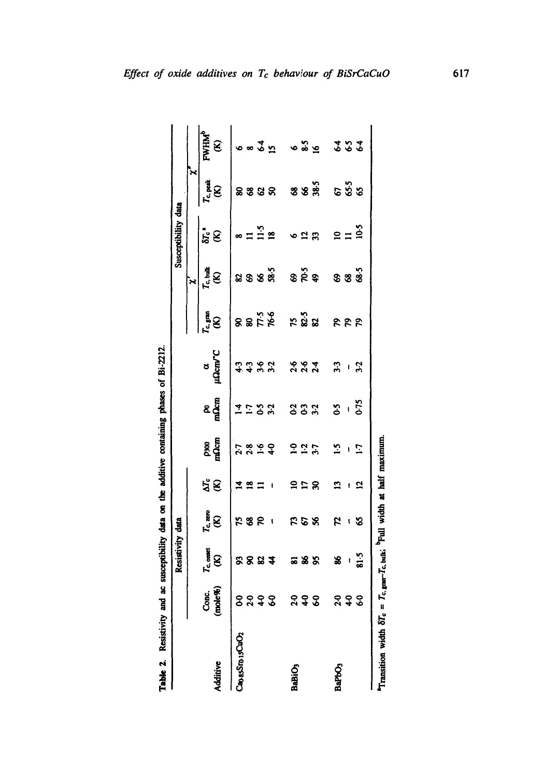| 8i-2212.                                                          |  |
|-------------------------------------------------------------------|--|
| $\frac{1}{2}$                                                     |  |
| <b>Express</b>                                                    |  |
|                                                                   |  |
|                                                                   |  |
|                                                                   |  |
|                                                                   |  |
|                                                                   |  |
| Resistivity and ac susceptibility data on the additive containing |  |
|                                                                   |  |
|                                                                   |  |
| Ĩ.                                                                |  |
| i<br>V                                                            |  |
| <b>Table</b>                                                      |  |

|                     |                                             | Resisti            | ivity data        |                                           |                                                                                                                                                                                                                                            |                         |                                                                                                                                                                                                                                                                                                                                                                                                                                   |                        |                                                                                                                                                                                                                                                                                                                     |                                                                                                                                                                                                                                                                                                                                                         |  |
|---------------------|---------------------------------------------|--------------------|-------------------|-------------------------------------------|--------------------------------------------------------------------------------------------------------------------------------------------------------------------------------------------------------------------------------------------|-------------------------|-----------------------------------------------------------------------------------------------------------------------------------------------------------------------------------------------------------------------------------------------------------------------------------------------------------------------------------------------------------------------------------------------------------------------------------|------------------------|---------------------------------------------------------------------------------------------------------------------------------------------------------------------------------------------------------------------------------------------------------------------------------------------------------------------|---------------------------------------------------------------------------------------------------------------------------------------------------------------------------------------------------------------------------------------------------------------------------------------------------------------------------------------------------------|--|
|                     |                                             |                    |                   |                                           |                                                                                                                                                                                                                                            |                         |                                                                                                                                                                                                                                                                                                                                                                                                                                   |                        |                                                                                                                                                                                                                                                                                                                     |                                                                                                                                                                                                                                                                                                                                                         |  |
|                     |                                             |                    |                   |                                           |                                                                                                                                                                                                                                            |                         |                                                                                                                                                                                                                                                                                                                                                                                                                                   |                        |                                                                                                                                                                                                                                                                                                                     |                                                                                                                                                                                                                                                                                                                                                         |  |
| Additive            | Conc. $T_{c. \text{ onset}}$<br>(mole%) (K) |                    | $T_{\rm c, zero}$ | gg  isi sas                               | $\frac{1}{2}$<br>$\frac{1}{2}$<br>$\frac{1}{2}$<br>$\frac{1}{2}$<br>$\frac{1}{2}$<br>$\frac{1}{2}$<br>$\frac{1}{2}$<br>$\frac{1}{2}$<br>$\frac{1}{2}$<br>$\frac{1}{2}$<br>$\frac{1}{2}$<br>$\frac{1}{2}$<br>$\frac{1}{2}$<br>$\frac{1}{2}$ | & E   1 드 S 3, 3 S 3 3, | $\begin{array}{c cccccc} \mathtt{c} & \mathtt{c} & \mathtt{c} & \mathtt{c} & \mathtt{c} & \mathtt{c} & \mathtt{c} & \mathtt{c} & \mathtt{c} & \mathtt{c} \\ \mathtt{c} & \mathtt{c} & \mathtt{c} & \mathtt{c} & \mathtt{c} & \mathtt{c} & \mathtt{c} & \mathtt{c} & \mathtt{c} & \mathtt{c} & \mathtt{c} \\ \mathtt{c} & \mathtt{c} & \mathtt{c} & \mathtt{c} & \mathtt{c} & \mathtt{c} & \mathtt{c} & \mathtt{c} & \mathtt{c} &$ | <b>CONSERVERS REP.</b> | $\frac{1}{2}$ $\frac{1}{2}$ $\frac{1}{2}$ $\frac{1}{2}$ $\frac{1}{2}$ $\frac{1}{2}$ $\frac{1}{2}$ $\frac{1}{2}$ $\frac{1}{2}$ $\frac{1}{2}$ $\frac{1}{2}$ $\frac{1}{2}$ $\frac{1}{2}$ $\frac{1}{2}$ $\frac{1}{2}$ $\frac{1}{2}$ $\frac{1}{2}$ $\frac{1}{2}$ $\frac{1}{2}$ $\frac{1}{2}$ $\frac{1}{2}$ $\frac{1}{2}$ | $\frac{1}{16}$ $\approx$ $\frac{1}{12}$ $\approx$ $\frac{1}{12}$ $\approx$ $\frac{1}{12}$ $\approx$ $\frac{1}{12}$ $\approx$ $\frac{1}{12}$ $\approx$ $\frac{1}{12}$ $\approx$ $\frac{1}{12}$ $\approx$ $\frac{1}{12}$ $\approx$ $\frac{1}{12}$ $\approx$ $\frac{1}{12}$ $\approx$ $\frac{1}{12}$ $\approx$ $\frac{1}{12}$ $\approx$ $\frac{1}{12}$ $\$ |  |
| <b>PORTS STORES</b> |                                             |                    |                   |                                           |                                                                                                                                                                                                                                            |                         |                                                                                                                                                                                                                                                                                                                                                                                                                                   |                        |                                                                                                                                                                                                                                                                                                                     |                                                                                                                                                                                                                                                                                                                                                         |  |
|                     |                                             |                    |                   |                                           |                                                                                                                                                                                                                                            |                         |                                                                                                                                                                                                                                                                                                                                                                                                                                   |                        |                                                                                                                                                                                                                                                                                                                     |                                                                                                                                                                                                                                                                                                                                                         |  |
|                     |                                             | E 8 5 <del>1</del> |                   |                                           |                                                                                                                                                                                                                                            |                         |                                                                                                                                                                                                                                                                                                                                                                                                                                   |                        |                                                                                                                                                                                                                                                                                                                     |                                                                                                                                                                                                                                                                                                                                                         |  |
|                     |                                             |                    |                   |                                           |                                                                                                                                                                                                                                            |                         |                                                                                                                                                                                                                                                                                                                                                                                                                                   |                        |                                                                                                                                                                                                                                                                                                                     |                                                                                                                                                                                                                                                                                                                                                         |  |
| <b>BaBiOs</b>       |                                             |                    |                   |                                           |                                                                                                                                                                                                                                            |                         |                                                                                                                                                                                                                                                                                                                                                                                                                                   |                        |                                                                                                                                                                                                                                                                                                                     |                                                                                                                                                                                                                                                                                                                                                         |  |
|                     | 0 9 9<br>2 <del>4</del> 9                   |                    |                   |                                           |                                                                                                                                                                                                                                            |                         |                                                                                                                                                                                                                                                                                                                                                                                                                                   |                        |                                                                                                                                                                                                                                                                                                                     |                                                                                                                                                                                                                                                                                                                                                         |  |
|                     |                                             |                    | 2321 282          |                                           |                                                                                                                                                                                                                                            |                         |                                                                                                                                                                                                                                                                                                                                                                                                                                   |                        |                                                                                                                                                                                                                                                                                                                     |                                                                                                                                                                                                                                                                                                                                                         |  |
| <b>BaPbO3</b>       |                                             | S6                 | $7 - 8$           |                                           | $\frac{15}{2} + \frac{1}{2}$                                                                                                                                                                                                               | $8 - 50$                |                                                                                                                                                                                                                                                                                                                                                                                                                                   |                        |                                                                                                                                                                                                                                                                                                                     |                                                                                                                                                                                                                                                                                                                                                         |  |
|                     | 0<br>0<br>0<br>0<br>0<br>0                  |                    |                   |                                           |                                                                                                                                                                                                                                            |                         |                                                                                                                                                                                                                                                                                                                                                                                                                                   |                        |                                                                                                                                                                                                                                                                                                                     |                                                                                                                                                                                                                                                                                                                                                         |  |
|                     |                                             | 81.5               |                   | $\begin{array}{cc} 2 & 1 & 2 \end{array}$ |                                                                                                                                                                                                                                            |                         |                                                                                                                                                                                                                                                                                                                                                                                                                                   |                        |                                                                                                                                                                                                                                                                                                                     |                                                                                                                                                                                                                                                                                                                                                         |  |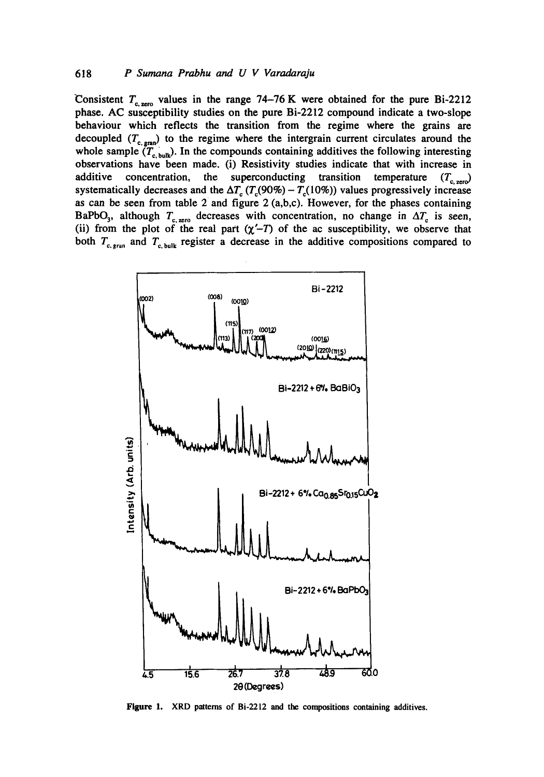Consistent  $T_{c,zero}$  values in the range 74-76 K were obtained for the pure Bi-2212 phase. AC susceptibility studies on the pure Bi-2212 compound indicate a two-slope behaviour which reflects the transition from the regime where the grains are decoupled  $(T_{c, \text{grav}})$  to the regime where the intergrain current circulates around the whole sample  $(T_{c, bulk})$ . In the compounds containing additives the following interesting observations have been made. (i) Resistivity studies indicate that with increase in additive concentration, the superconducting transition temperature  $(T_{c,zero})$ systematically decreases and the  $\Delta T_c$  (T<sub>c</sub>(90%) - T<sub>c</sub>(10%)) values progressively increase as can be seen from table 2 and figure  $2(a,b,c)$ . However, for the phases containing BaPbO<sub>3</sub>, although  $T_{c,zero}$  decreases with concentration, no change in  $\Delta T_c$  is seen, (ii) from the plot of the real part  $(\chi'-T)$  of the ac susceptibility, we observe that both  $T_{c, \text{tran}}$  and  $T_{c, \text{bulk}}$  register a decrease in the additive compositions compared to



**Figure 1.**  XRD patterns of Bi-2212 and the compositions containing additives.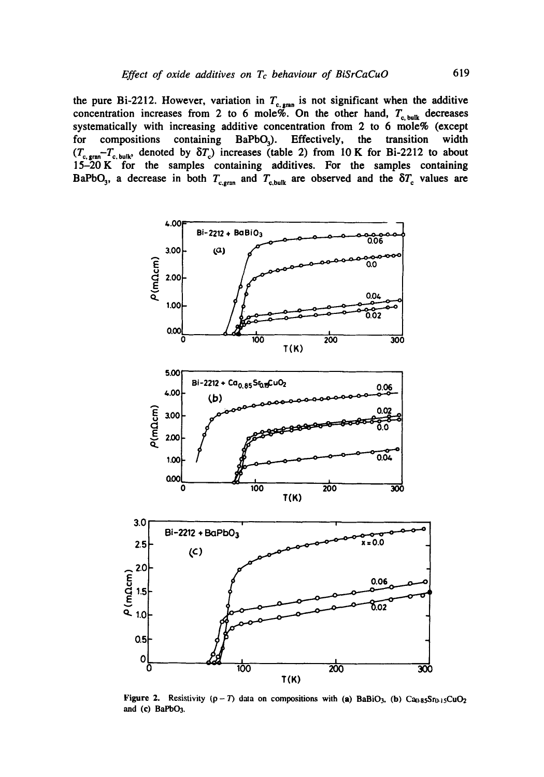the pure Bi-2212. However, variation in  $T_{c,gen}$  is not significant when the additive concentration increases from 2 to 6 mole%. On the other hand,  $T_{c, bulk}$  decreases systematically with increasing additive concentration from 2 to 6 mole% (except for compositions containing BaPbO<sub>3</sub>). Effectively, the transition width  $(T_{c. \text{gram}} - T_{c. \text{bulk}})$  denoted by  $\delta T_c$ ) increases (table 2) from 10 K for Bi-2212 to about 15-20K for the samples containing additives. For the samples containing BaPbO<sub>3</sub>, a decrease in both  $T_{c,gen}$  and  $T_{c,bulk}$  are observed and the  $\delta T_c$  values are



Figure 2. Resistivity  $(p-T)$  data on compositions with (a) BaBiO<sub>3</sub>, (b) Ca<sub>0.85</sub>Sr<sub>0-15</sub>CuO<sub>2</sub> and (c) BaPbO3.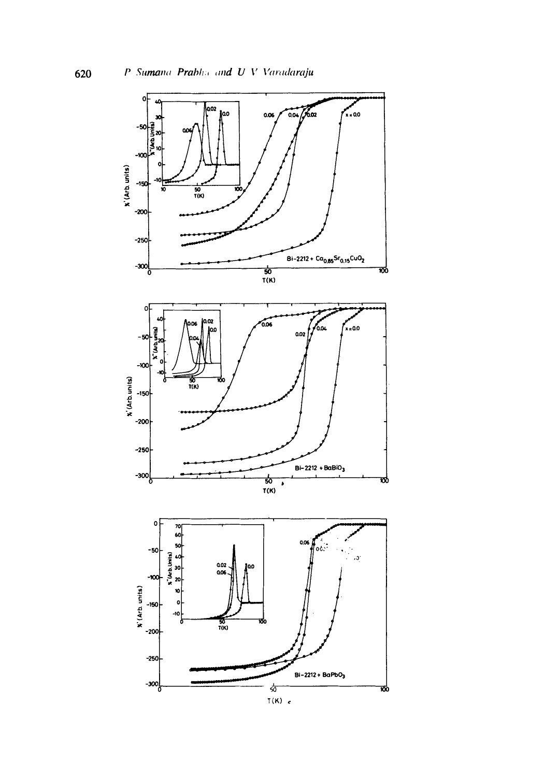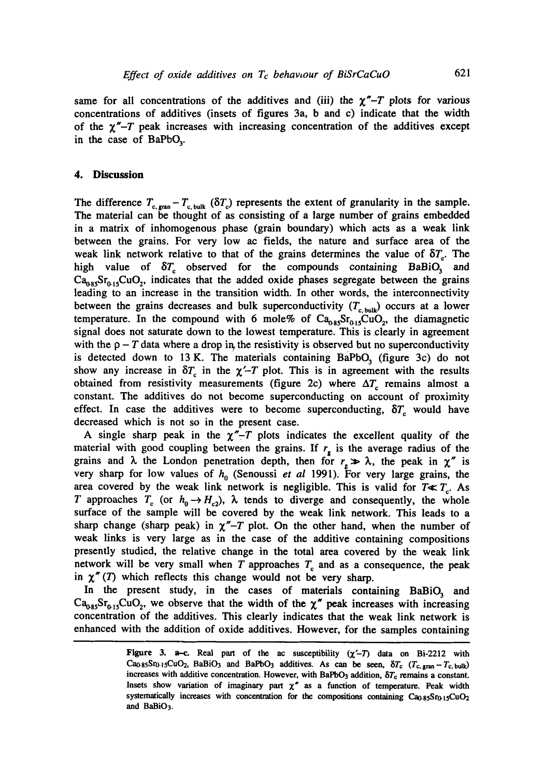same for all concentrations of the additives and (iii) the  $\chi''-T$  plots for various concentrations of additives (insets of figures 3a, b and c) indicate that the width of the  $\chi''-T$  peak increases with increasing concentration of the additives except in the case of BaPbO<sub>3</sub>.

#### **4. Discussion**

The difference  $T_{c, \text{grav}} - T_{c, \text{bulk}}$  ( $\delta T_c$ ) represents the extent of granularity in the sample. The material can be thought of as consisting of a large number of grains embedded in a matrix of inhomogenous phase (grain boundary) which acts as a weak link between the grains. For very low ac fields, the nature and surface area of the weak link network relative to that of the grains determines the value of  $\delta T_c$ . The high value of  $\delta T_c$  observed for the compounds containing BaBiO<sub>3</sub> and  $Ca<sub>0.85</sub>Sr<sub>0.15</sub>CuO<sub>2</sub>$ , indicates that the added oxide phases segregate between the grains leading to an increase in the transition width. In other words, the interconnectivity between the grains decreases and bulk superconductivity  $(T_{c, bulk})$  occurs at a lower temperature. In the compound with 6 mole% of  $Ca_{0.85}Sr_{0.15}CuO_2$ , the diamagnetic signal does not saturate down to the lowest temperature. This is clearly in agreement with the  $p - T$  data where a drop in the resistivity is observed but no superconductivity is detected down to  $13$  K. The materials containing BaPbO<sub>3</sub> (figure 3c) do not show any increase in  $\delta T_c$  in the  $\chi'$ -T plot. This is in agreement with the results obtained from resistivity measurements (figure 2c) where  $\Delta T$ , remains almost a constant. The additives do not become superconducting on account of proximity effect. In case the additives were to become superconducting,  $\delta T_c$  would have decreased which is not so in the present case.

A single sharp peak in the  $\chi''-T$  plots indicates the excellent quality of the material with good coupling between the grains. If  $r<sub>g</sub>$  is the average radius of the grains and  $\lambda$  the London penetration depth, then for  $r_{g} \gg \lambda$ , the peak in  $\chi''$  is very sharp for low values of  $h_0$  (Senoussi *et al* 1991). For very large grains, the area covered by the weak link network is negligible. This is valid for  $T \ll T_c$ . As T approaches  $T_c$  (or  $h_0 \rightarrow H_{c2}$ ),  $\lambda$  tends to diverge and consequently, the whole surface of the sample will be covered by the weak link network. This leads to a sharp change (sharp peak) in  $\chi''-T$  plot. On the other hand, when the number of weak links is very large as in the case of the additive containing compositions presently studied, the relative change in the total area covered by the weak link network will be very small when  $T$  approaches  $T_c$  and as a consequence, the peak in  $\chi''(T)$  which reflects this change would not be very sharp.

In the present study, in the cases of materials containing BaBiO<sub>3</sub> and  $Ca<sub>0.83</sub>Sr<sub>0.15</sub>CuO<sub>2</sub>$ , we observe that the width of the  $\chi''$  peak increases with increasing concentration of the additives. This clearly indicates that the weak link network is enhanced with the addition of oxide additives. However, for the samples containing

**Figure 3. a-c.** Real part of the ac susceptibility  $(\chi'-T)$  data on Bi-2212 with Ca<sub>0</sub>.85Sr<sub>0</sub>.15CuO<sub>2</sub>, BaBiO<sub>3</sub> and BaPbO<sub>3</sub> additives. As can be seen,  $\delta T_c$  (T<sub>c.gran</sub> - T<sub>c. bulk</sub>) increases with additive concentration. However, with BaPbO<sub>3</sub> addition,  $\delta T_c$  remains a constant. Insets show variation of imaginary part  $\chi^*$  as a function of temperature. Peak width systematically increases with concentration for the compositions containing  $Ca<sub>0.85</sub>Sr<sub>0.15</sub>CuO<sub>2</sub>$ and BaBiO3.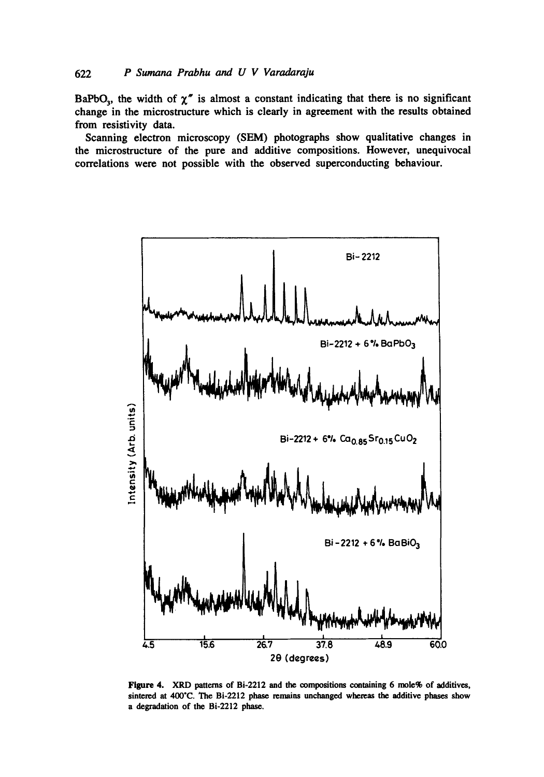BaPbO<sub>3</sub>, the width of  $\chi''$  is almost a constant indicating that there is no significant **change in the microstructure which is clearly in agreement with the results obtained from resistivity data.** 

**Scanning electron microscopy (SEM) photographs show qualitative changes in the microstructure of the pure and additive compositions. However, unequivocal correlations were not possible with the observed superconducting behaviour.** 



**Figure 4. XRD patterns of Bi-2212 and the compositions containing 6 mole% of additives, sintered at 400"C. The Bi-2212 phase remains unchanged whereas the additive phases show a degradation of the Bi-2212 phase.**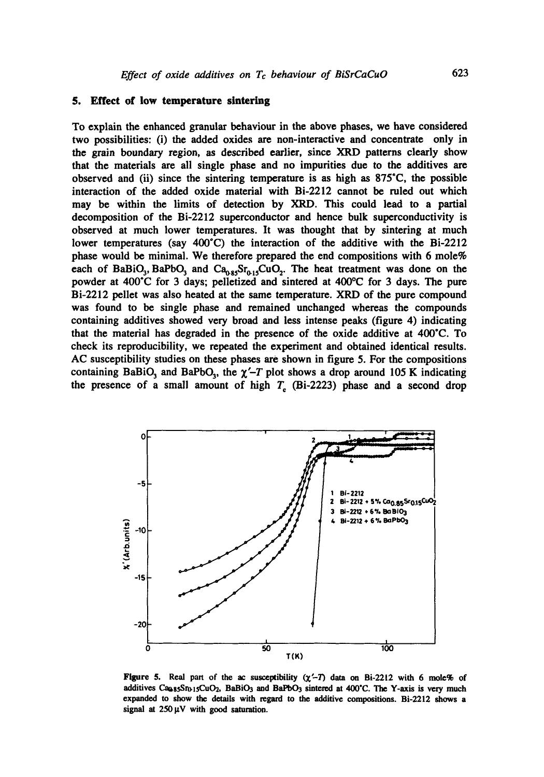## **5. Effect of low temperature sintering**

To explain the enhanced granular behaviour in the above phases, we have considered two possibilities: (i) the added oxides are non-interactive and concentrate only in the grain boundary region, as described earlier, since XRD patterns clearly show that the materials are all single phase and no impurities due to the additives are observed and (ii) since the sintering temperature is as high as 875"C, the possible interaction of the added oxide material with Bi-2212 cannot be ruled out which may be within the limits of detection by XRD. This could lead to a partial decomposition of the Bi-2212 superconductor and hence bulk superconductivity is observed at much lower temperatures. It was thought that by sintering at much lower temperatures (say 400"C) the interaction of the additive with the Bi-2212 phase would be minimal. We therefore prepared the end compositions with 6 mole% each of BaBiO<sub>3</sub>, BaPbO<sub>3</sub> and Ca<sub>085</sub>Sr<sub>015</sub>CuO<sub>2</sub>. The heat treatment was done on the powder at 400"C for 3 days; pelletized and sintered at 400°C for 3 days. The pure Bi-2212 pellet was also heated at the same temperature. XRD of the pure compound was found to be single phase and remained unchanged whereas the compounds containing additives showed very broad and less intense peaks (figure 4) indicating that the material has degraded in the presence of the oxide additive at 400"C. To check its reproducibility, we repeated the experiment and obtained identical results. AC susceptibility studies on these phases are shown in figure 5. For the compositions containing BaBiO<sub>3</sub> and BaPbO<sub>3</sub>, the  $\chi$ '-T plot shows a drop around 105 K indicating the presence of a small amount of high  $T_c$  (Bi-2223) phase and a second drop



Figure 5. Real part of the ac susceptibility  $(\chi'-T)$  data on Bi-2212 with 6 mole% of additives CaossSr01sCuO2, BaBiO3 and BaPbO3 sintered at 400°C. The Y-axis is very much expanded to show the details with regard to the additive compositions. Bi-2212 shows a signal at  $250 \mu V$  with good saturation.